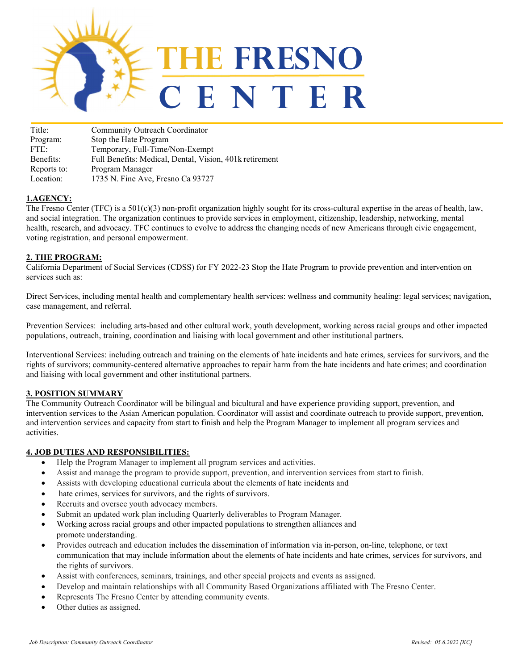

| Title:      | Community Outreach Coordinator                          |
|-------------|---------------------------------------------------------|
| Program:    | Stop the Hate Program                                   |
| FTE:        | Temporary, Full-Time/Non-Exempt                         |
| Benefits:   | Full Benefits: Medical, Dental, Vision, 401k retirement |
| Reports to: | Program Manager                                         |
| Location:   | 1735 N. Fine Ave, Fresno Ca 93727                       |

## 1.AGENCY:

The Fresno Center (TFC) is a  $501(c)(3)$  non-profit organization highly sought for its cross-cultural expertise in the areas of health, law, and social integration. The organization continues to provide services in employment, citizenship, leadership, networking, mental health, research, and advocacy. TFC continues to evolve to address the changing needs of new Americans through civic engagement, voting registration, and personal empowerment.

#### 2. THE PROGRAM:

California Department of Social Services (CDSS) for FY 2022-23 Stop the Hate Program to provide prevention and intervention on services such as:

Direct Services, including mental health and complementary health services: wellness and community healing: legal services; navigation, case management, and referral.

Prevention Services: including arts-based and other cultural work, youth development, working across racial groups and other impacted populations, outreach, training, coordination and liaising with local government and other institutional partners.

Interventional Services: including outreach and training on the elements of hate incidents and hate crimes, services for survivors, and the rights of survivors; community-centered alternative approaches to repair harm from the hate incidents and hate crimes; and coordination and liaising with local government and other institutional partners.

#### 3. POSITION SUMMARY

The Community Outreach Coordinator will be bilingual and bicultural and have experience providing support, prevention, and intervention services to the Asian American population. Coordinator will assist and coordinate outreach to provide support, prevention, and intervention services and capacity from start to finish and help the Program Manager to implement all program services and activities.

#### 4. JOB DUTIES AND RESPONSIBILITIES:

- Help the Program Manager to implement all program services and activities.
- Assist and manage the program to provide support, prevention, and intervention services from start to finish.
- Assists with developing educational curricula about the elements of hate incidents and
- hate crimes, services for survivors, and the rights of survivors.
- Recruits and oversee youth advocacy members.
- Submit an updated work plan including Quarterly deliverables to Program Manager.
- Working across racial groups and other impacted populations to strengthen alliances and promote understanding.
- Provides outreach and education includes the dissemination of information via in-person, on-line, telephone, or text communication that may include information about the elements of hate incidents and hate crimes, services for survivors, and the rights of survivors.
- Assist with conferences, seminars, trainings, and other special projects and events as assigned.
- Develop and maintain relationships with all Community Based Organizations affiliated with The Fresno Center.
- Represents The Fresno Center by attending community events.
- Other duties as assigned.